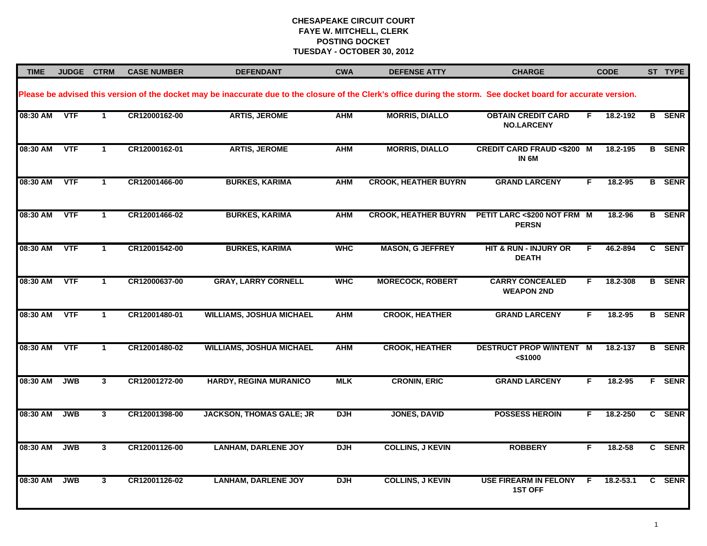| <b>TIME</b> | JUDGE CTRM |                      | <b>CASE NUMBER</b> | <b>DEFENDANT</b>                                                                                                                                                 | <b>CWA</b> | <b>DEFENSE ATTY</b>         | <b>CHARGE</b>                                             |    | <b>CODE</b> | ST TYPE       |
|-------------|------------|----------------------|--------------------|------------------------------------------------------------------------------------------------------------------------------------------------------------------|------------|-----------------------------|-----------------------------------------------------------|----|-------------|---------------|
|             |            |                      |                    | Please be advised this version of the docket may be inaccurate due to the closure of the Clerk's office during the storm. See docket board for accurate version. |            |                             |                                                           |    |             |               |
| 08:30 AM    | <b>VTF</b> | $\mathbf{1}$         | CR12000162-00      | <b>ARTIS, JEROME</b>                                                                                                                                             | <b>AHM</b> | <b>MORRIS, DIALLO</b>       | <b>OBTAIN CREDIT CARD</b><br><b>NO.LARCENY</b>            | F. | 18.2-192    | <b>B</b> SENR |
| 08:30 AM    | <b>VTF</b> | $\mathbf{1}$         | CR12000162-01      | <b>ARTIS, JEROME</b>                                                                                                                                             | <b>AHM</b> | <b>MORRIS, DIALLO</b>       | <b>CREDIT CARD FRAUD &lt;\$200 M</b><br>IN <sub>6</sub> M |    | 18.2-195    | <b>B</b> SENR |
| 08:30 AM    | VTF        | $\blacktriangleleft$ | CR12001466-00      | <b>BURKES, KARIMA</b>                                                                                                                                            | <b>AHM</b> | <b>CROOK, HEATHER BUYRN</b> | <b>GRAND LARCENY</b>                                      | F  | 18.2-95     | <b>B</b> SENR |
| 08:30 AM    | <b>VTF</b> | $\mathbf{1}$         | CR12001466-02      | <b>BURKES, KARIMA</b>                                                                                                                                            | <b>AHM</b> | <b>CROOK, HEATHER BUYRN</b> | PETIT LARC <\$200 NOT FRM M<br><b>PERSN</b>               |    | 18.2-96     | <b>B</b> SENR |
| 08:30 AM    | <b>VTF</b> | $\mathbf 1$          | CR12001542-00      | <b>BURKES, KARIMA</b>                                                                                                                                            | <b>WHC</b> | <b>MASON, G JEFFREY</b>     | HIT & RUN - INJURY OR<br><b>DEATH</b>                     | F. | 46.2-894    | C SENT        |
| 08:30 AM    | VTF        | $\mathbf 1$          | CR12000637-00      | <b>GRAY, LARRY CORNELL</b>                                                                                                                                       | <b>WHC</b> | <b>MORECOCK, ROBERT</b>     | <b>CARRY CONCEALED</b><br><b>WEAPON 2ND</b>               | F. | 18.2-308    | <b>B</b> SENR |
| 08:30 AM    | <b>VTF</b> | $\mathbf 1$          | CR12001480-01      | <b>WILLIAMS, JOSHUA MICHAEL</b>                                                                                                                                  | <b>AHM</b> | <b>CROOK, HEATHER</b>       | <b>GRAND LARCENY</b>                                      | F. | 18.2-95     | <b>B</b> SENR |
| 08:30 AM    | <b>VTF</b> | -1                   | CR12001480-02      | <b>WILLIAMS, JOSHUA MICHAEL</b>                                                                                                                                  | <b>AHM</b> | <b>CROOK, HEATHER</b>       | <b>DESTRUCT PROP W/INTENT M</b><br>$<$ \$1000             |    | 18.2-137    | <b>B</b> SENR |
| 08:30 AM    | <b>JWB</b> | $\mathbf{3}$         | CR12001272-00      | HARDY, REGINA MURANICO                                                                                                                                           | <b>MLK</b> | <b>CRONIN, ERIC</b>         | <b>GRAND LARCENY</b>                                      | F  | 18.2-95     | F SENR        |
| 08:30 AM    | <b>JWB</b> | $\mathbf{3}$         | CR12001398-00      | <b>JACKSON, THOMAS GALE; JR</b>                                                                                                                                  | <b>DJH</b> | <b>JONES, DAVID</b>         | <b>POSSESS HEROIN</b>                                     | F. | 18.2-250    | C SENR        |
| 08:30 AM    | <b>JWB</b> | 3                    | CR12001126-00      | <b>LANHAM, DARLENE JOY</b>                                                                                                                                       | <b>DJH</b> | <b>COLLINS, J KEVIN</b>     | <b>ROBBERY</b>                                            | F. | 18.2-58     | C SENR        |
| 08:30 AM    | <b>JWB</b> | $\mathbf{3}$         | CR12001126-02      | <b>LANHAM, DARLENE JOY</b>                                                                                                                                       | <b>DJH</b> | <b>COLLINS, J KEVIN</b>     | <b>USE FIREARM IN FELONY</b><br><b>1ST OFF</b>            | -F | 18.2-53.1   | C SENR        |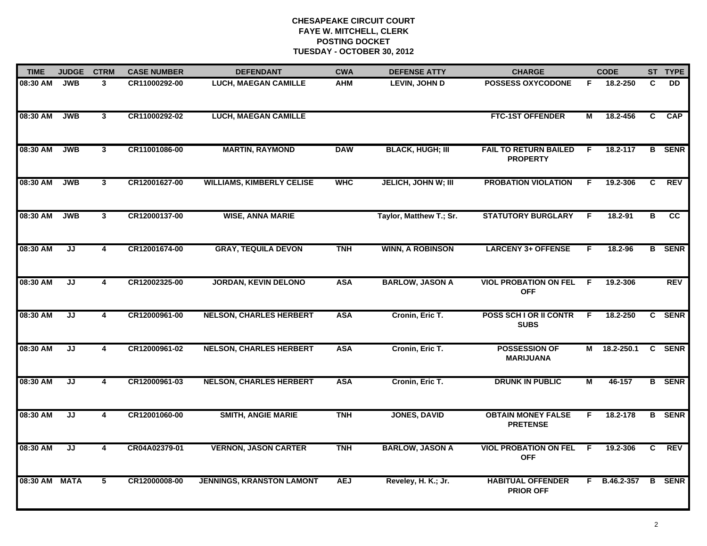| <b>TIME</b> | <b>JUDGE</b>                      | <b>CTRM</b>             | <b>CASE NUMBER</b> | <b>DEFENDANT</b>                 | <b>CWA</b> | <b>DEFENSE ATTY</b>        | <b>CHARGE</b>                                   |                | <b>CODE</b>  |    | ST TYPE       |
|-------------|-----------------------------------|-------------------------|--------------------|----------------------------------|------------|----------------------------|-------------------------------------------------|----------------|--------------|----|---------------|
| 08:30 AM    | <b>JWB</b>                        | $\mathbf{3}$            | CR11000292-00      | <b>LUCH, MAEGAN CAMILLE</b>      | <b>AHM</b> | <b>LEVIN, JOHN D</b>       | <b>POSSESS OXYCODONE</b>                        | F.             | 18.2-250     | C  | <b>DD</b>     |
| 08:30 AM    | <b>JWB</b>                        | 3 <sup>1</sup>          | CR11000292-02      | <b>LUCH, MAEGAN CAMILLE</b>      |            |                            | <b>FTC-1ST OFFENDER</b>                         | м              | 18.2-456     | C  | <b>CAP</b>    |
| 08:30 AM    | <b>JWB</b>                        | 3                       | CR11001086-00      | <b>MARTIN, RAYMOND</b>           | <b>DAW</b> | <b>BLACK, HUGH; III</b>    | <b>FAIL TO RETURN BAILED</b><br><b>PROPERTY</b> | F              | 18.2-117     |    | <b>B</b> SENR |
| 08:30 AM    | <b>JWB</b>                        | 3                       | CR12001627-00      | <b>WILLIAMS, KIMBERLY CELISE</b> | <b>WHC</b> | <b>JELICH, JOHN W; III</b> | <b>PROBATION VIOLATION</b>                      | F.             | 19.2-306     | C. | <b>REV</b>    |
| 08:30 AM    | <b>JWB</b>                        | $\mathbf{3}$            | CR12000137-00      | <b>WISE, ANNA MARIE</b>          |            | Taylor, Matthew T.; Sr.    | <b>STATUTORY BURGLARY</b>                       | F.             | 18.2-91      | в  | <b>CC</b>     |
| 08:30 AM    | JJ                                | 4                       | CR12001674-00      | <b>GRAY, TEQUILA DEVON</b>       | <b>TNH</b> | <b>WINN, A ROBINSON</b>    | <b>LARCENY 3+ OFFENSE</b>                       | F.             | 18.2-96      |    | <b>B</b> SENR |
| 08:30 AM    | $\overline{\mathsf{J}\mathsf{J}}$ | $\overline{\mathbf{4}}$ | CR12002325-00      | <b>JORDAN, KEVIN DELONO</b>      | <b>ASA</b> | <b>BARLOW, JASON A</b>     | <b>VIOL PROBATION ON FEL</b><br><b>OFF</b>      | $\overline{F}$ | 19.2-306     |    | REV           |
| 08:30 AM    | JJ                                | $\overline{\mathbf{4}}$ | CR12000961-00      | <b>NELSON, CHARLES HERBERT</b>   | <b>ASA</b> | Cronin, Eric T.            | POSS SCH I OR II CONTR<br><b>SUBS</b>           | F              | 18.2-250     |    | C SENR        |
| 08:30 AM    | JJ                                | 4                       | CR12000961-02      | <b>NELSON, CHARLES HERBERT</b>   | <b>ASA</b> | Cronin, Eric T.            | <b>POSSESSION OF</b><br><b>MARIJUANA</b>        | М              | 18.2-250.1   |    | C SENR        |
| 08:30 AM    | JJ                                | 4                       | CR12000961-03      | <b>NELSON, CHARLES HERBERT</b>   | <b>ASA</b> | Cronin, Eric T.            | <b>DRUNK IN PUBLIC</b>                          | М              | 46-157       |    | <b>B</b> SENR |
| 08:30 AM    | JJ                                | 4                       | CR12001060-00      | <b>SMITH, ANGIE MARIE</b>        | <b>TNH</b> | <b>JONES, DAVID</b>        | <b>OBTAIN MONEY FALSE</b><br><b>PRETENSE</b>    | F.             | 18.2-178     |    | <b>B</b> SENR |
| 08:30 AM    | JJ                                | 4                       | CR04A02379-01      | <b>VERNON, JASON CARTER</b>      | <b>TNH</b> | <b>BARLOW, JASON A</b>     | <b>VIOL PROBATION ON FEL</b><br><b>OFF</b>      | F.             | 19.2-306     | C  | <b>REV</b>    |
| 08:30 AM    | <b>MATA</b>                       | 5                       | CR12000008-00      | <b>JENNINGS, KRANSTON LAMONT</b> | <b>AEJ</b> | Reveley, H. K.; Jr.        | <b>HABITUAL OFFENDER</b><br><b>PRIOR OFF</b>    |                | F B.46.2-357 |    | <b>B</b> SENR |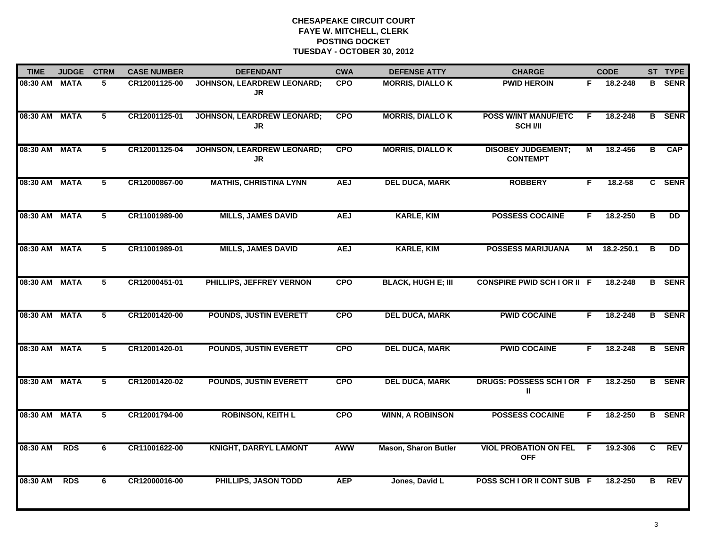| <b>TIME</b>   | <b>JUDGE</b> | <b>CTRM</b> | <b>CASE NUMBER</b> | <b>DEFENDANT</b>                               | <b>CWA</b> | <b>DEFENSE ATTY</b>         | <b>CHARGE</b>                                 |    | <b>CODE</b>  |                | ST TYPE       |
|---------------|--------------|-------------|--------------------|------------------------------------------------|------------|-----------------------------|-----------------------------------------------|----|--------------|----------------|---------------|
| 08:30 AM MATA |              | 5           | CR12001125-00      | JOHNSON, LEARDREW LEONARD;<br>JR               | <b>CPO</b> | <b>MORRIS, DIALLO K</b>     | <b>PWID HEROIN</b>                            | F. | 18.2-248     |                | <b>B</b> SENR |
| 08:30 AM      | <b>MATA</b>  | 5           | CR12001125-01      | <b>JOHNSON, LEARDREW LEONARD;</b><br><b>JR</b> | <b>CPO</b> | <b>MORRIS, DIALLO K</b>     | <b>POSS W/INT MANUF/ETC</b><br><b>SCH VII</b> | F  | 18.2-248     |                | <b>B</b> SENR |
| 08:30 AM      | <b>MATA</b>  | 5           | CR12001125-04      | <b>JOHNSON, LEARDREW LEONARD;</b><br>JR        | <b>CPO</b> | <b>MORRIS, DIALLO K</b>     | <b>DISOBEY JUDGEMENT;</b><br><b>CONTEMPT</b>  | М  | 18.2-456     | $\overline{B}$ | <b>CAP</b>    |
| 08:30 AM      | <b>MATA</b>  | 5           | CR12000867-00      | <b>MATHIS, CHRISTINA LYNN</b>                  | <b>AEJ</b> | <b>DEL DUCA, MARK</b>       | <b>ROBBERY</b>                                | F. | $18.2 - 58$  |                | C SENR        |
| 08:30 AM      | <b>MATA</b>  | 5           | CR11001989-00      | <b>MILLS, JAMES DAVID</b>                      | <b>AEJ</b> | <b>KARLE, KIM</b>           | <b>POSSESS COCAINE</b>                        | F. | 18.2-250     | в              | <b>DD</b>     |
| 08:30 AM MATA |              | 5           | CR11001989-01      | <b>MILLS, JAMES DAVID</b>                      | <b>AEJ</b> | <b>KARLE, KIM</b>           | <b>POSSESS MARIJUANA</b>                      |    | M 18.2-250.1 | В              | <b>DD</b>     |
| 08:30 AM      | <b>MATA</b>  | 5           | CR12000451-01      | PHILLIPS, JEFFREY VERNON                       | <b>CPO</b> | <b>BLACK, HUGH E; III</b>   | <b>CONSPIRE PWID SCH I OR II F</b>            |    | 18.2-248     |                | <b>B</b> SENR |
| 08:30 AM      | <b>MATA</b>  | 5           | CR12001420-00      | <b>POUNDS, JUSTIN EVERETT</b>                  | <b>CPO</b> | <b>DEL DUCA, MARK</b>       | <b>PWID COCAINE</b>                           | F  | 18.2-248     |                | <b>B</b> SENR |
| 08:30 AM      | <b>MATA</b>  | 5           | CR12001420-01      | <b>POUNDS, JUSTIN EVERETT</b>                  | <b>CPO</b> | <b>DEL DUCA, MARK</b>       | <b>PWID COCAINE</b>                           | F. | 18.2-248     |                | <b>B</b> SENR |
| 08:30 AM MATA |              | 5           | CR12001420-02      | <b>POUNDS, JUSTIN EVERETT</b>                  | <b>CPO</b> | <b>DEL DUCA, MARK</b>       | DRUGS: POSSESS SCHIOR F<br>Ш                  |    | 18.2-250     |                | <b>B</b> SENR |
| 08:30 AM MATA |              | 5           | CR12001794-00      | <b>ROBINSON, KEITH L</b>                       | <b>CPO</b> | <b>WINN, A ROBINSON</b>     | <b>POSSESS COCAINE</b>                        | F. | 18.2-250     |                | <b>B</b> SENR |
| 08:30 AM      | <b>RDS</b>   | 6           | CR11001622-00      | <b>KNIGHT, DARRYL LAMONT</b>                   | <b>AWW</b> | <b>Mason, Sharon Butler</b> | <b>VIOL PROBATION ON FEL F</b><br><b>OFF</b>  |    | 19.2-306     | C              | <b>REV</b>    |
| 08:30 AM      | <b>RDS</b>   | 6           | CR12000016-00      | PHILLIPS, JASON TODD                           | <b>AEP</b> | Jones, David L              | POSS SCH I OR II CONT SUB F                   |    | 18.2-250     | в              | <b>REV</b>    |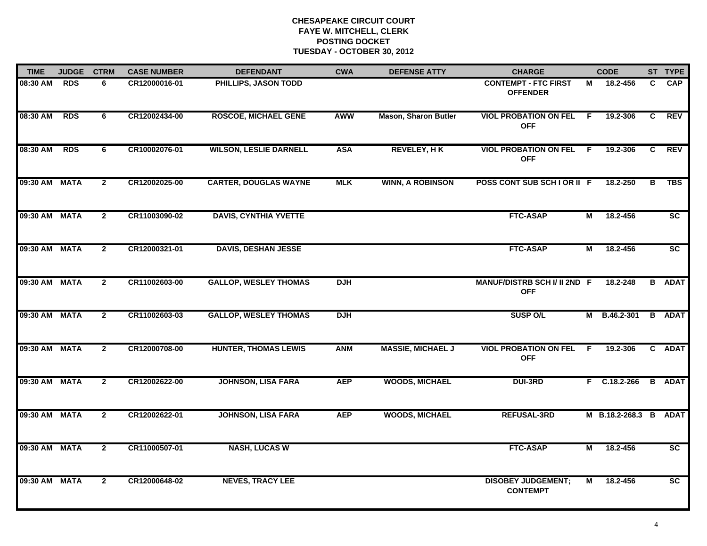| <b>TIME</b>   | <b>JUDGE</b> | <b>CTRM</b>    | <b>CASE NUMBER</b> | <b>DEFENDANT</b>              | <b>CWA</b> | <b>DEFENSE ATTY</b>         | <b>CHARGE</b>                                  |     | <b>CODE</b>           |   | ST TYPE         |
|---------------|--------------|----------------|--------------------|-------------------------------|------------|-----------------------------|------------------------------------------------|-----|-----------------------|---|-----------------|
| 08:30 AM      | <b>RDS</b>   | 6.             | CR12000016-01      | PHILLIPS, JASON TODD          |            |                             | <b>CONTEMPT - FTC FIRST</b><br><b>OFFENDER</b> | м   | 18.2-456              | C | <b>CAP</b>      |
| 08:30 AM      | <b>RDS</b>   | 6              | CR12002434-00      | <b>ROSCOE, MICHAEL GENE</b>   | AWW        | <b>Mason, Sharon Butler</b> | <b>VIOL PROBATION ON FEL</b><br><b>OFF</b>     | - F | 19.2-306              | C | <b>REV</b>      |
| 08:30 AM      | <b>RDS</b>   | 6              | CR10002076-01      | <b>WILSON, LESLIE DARNELL</b> | <b>ASA</b> | <b>REVELEY, HK</b>          | <b>VIOL PROBATION ON FEL F</b><br><b>OFF</b>   |     | 19.2-306              | C | <b>REV</b>      |
| 09:30 AM MATA |              | $\mathbf{2}$   | CR12002025-00      | <b>CARTER, DOUGLAS WAYNE</b>  | <b>MLK</b> | <b>WINN, A ROBINSON</b>     | POSS CONT SUB SCHIOR II F                      |     | 18.2-250              | В | TBS             |
| 09:30 AM      | <b>MATA</b>  | $\mathbf{2}$   | CR11003090-02      | <b>DAVIS, CYNTHIA YVETTE</b>  |            |                             | <b>FTC-ASAP</b>                                | М   | 18.2-456              |   | <b>SC</b>       |
| 09:30 AM MATA |              | $\mathbf{2}$   | CR12000321-01      | <b>DAVIS, DESHAN JESSE</b>    |            |                             | <b>FTC-ASAP</b>                                | Μ   | 18.2-456              |   | SC              |
| 09:30 AM      | <b>MATA</b>  | $\overline{2}$ | CR11002603-00      | <b>GALLOP, WESLEY THOMAS</b>  | <b>DJH</b> |                             | MANUF/DISTRB SCH I/ II 2ND F<br><b>OFF</b>     |     | 18.2-248              |   | <b>B</b> ADAT   |
| 09:30 AM      | <b>MATA</b>  | $\overline{2}$ | CR11002603-03      | <b>GALLOP, WESLEY THOMAS</b>  | <b>DJH</b> |                             | <b>SUSP O/L</b>                                |     | M B.46.2-301          |   | <b>B</b> ADAT   |
| 09:30 AM MATA |              | $\mathbf{2}$   | CR12000708-00      | <b>HUNTER, THOMAS LEWIS</b>   | <b>ANM</b> | <b>MASSIE, MICHAEL J</b>    | <b>VIOL PROBATION ON FEL F</b><br><b>OFF</b>   |     | 19.2-306              |   | C ADAT          |
| 09:30 AM      | <b>MATA</b>  | $\mathbf{2}$   | CR12002622-00      | <b>JOHNSON, LISA FARA</b>     | <b>AEP</b> | <b>WOODS, MICHAEL</b>       | <b>DUI-3RD</b>                                 |     | F C.18.2-266          |   | <b>B</b> ADAT   |
| 09:30 AM MATA |              | $\mathbf{2}$   | CR12002622-01      | <b>JOHNSON, LISA FARA</b>     | <b>AEP</b> | <b>WOODS, MICHAEL</b>       | <b>REFUSAL-3RD</b>                             |     | M B.18.2-268.3 B ADAT |   |                 |
| 09:30 AM MATA |              | $\overline{2}$ | CR11000507-01      | <b>NASH, LUCAS W</b>          |            |                             | <b>FTC-ASAP</b>                                | М   | 18.2-456              |   | $\overline{sc}$ |
| 09:30 AM MATA |              | $\overline{2}$ | CR12000648-02      | <b>NEVES, TRACY LEE</b>       |            |                             | <b>DISOBEY JUDGEMENT;</b><br><b>CONTEMPT</b>   | Μ   | 18.2-456              |   | SC              |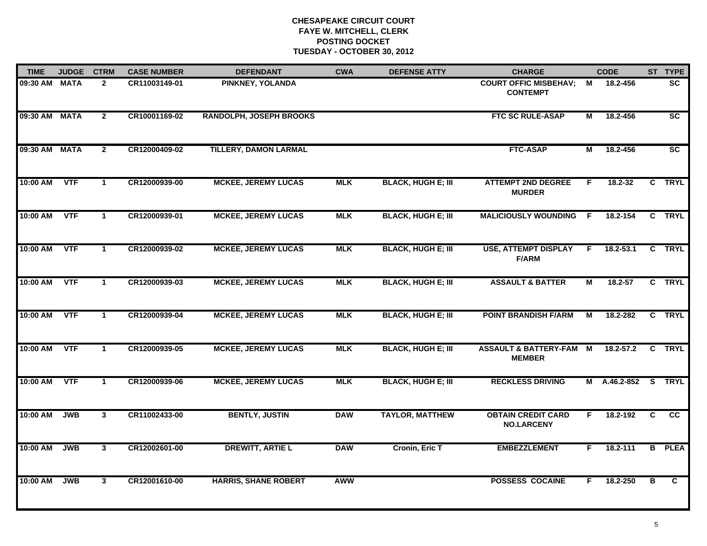| <b>TIME</b>   | <b>JUDGE</b> | <b>CTRM</b>          | <b>CASE NUMBER</b> | <b>DEFENDANT</b>               | <b>CWA</b> | <b>DEFENSE ATTY</b>       | <b>CHARGE</b>                                       |    | <b>CODE</b>         |                | ST TYPE                |
|---------------|--------------|----------------------|--------------------|--------------------------------|------------|---------------------------|-----------------------------------------------------|----|---------------------|----------------|------------------------|
| 09:30 AM      | <b>MATA</b>  | $\mathbf{2}$         | CR11003149-01      | PINKNEY, YOLANDA               |            |                           | <b>COURT OFFIC MISBEHAV;</b><br><b>CONTEMPT</b>     | М  | 18.2-456            |                | <b>SC</b>              |
| 09:30 AM MATA |              | $\overline{2}$       | CR10001169-02      | <b>RANDOLPH, JOSEPH BROOKS</b> |            |                           | <b>FTC SC RULE-ASAP</b>                             | М  | 18.2-456            |                | $\overline{\text{sc}}$ |
| 09:30 AM MATA |              | $\mathbf{2}$         | CR12000409-02      | <b>TILLERY, DAMON LARMAL</b>   |            |                           | <b>FTC-ASAP</b>                                     | М  | 18.2-456            |                | $\overline{\text{sc}}$ |
| 10:00 AM      | <b>VTF</b>   | $\mathbf 1$          | CR12000939-00      | <b>MCKEE, JEREMY LUCAS</b>     | <b>MLK</b> | <b>BLACK, HUGH E; III</b> | <b>ATTEMPT 2ND DEGREE</b><br><b>MURDER</b>          | F. | $18.2 - 32$         |                | C TRYL                 |
| 10:00 AM      | <b>VTF</b>   | $\mathbf 1$          | CR12000939-01      | <b>MCKEE, JEREMY LUCAS</b>     | <b>MLK</b> | <b>BLACK, HUGH E; III</b> | <b>MALICIOUSLY WOUNDING</b>                         | -F | 18.2-154            |                | C TRYL                 |
| 10:00 AM      | <b>VTF</b>   | $\blacktriangleleft$ | CR12000939-02      | <b>MCKEE, JEREMY LUCAS</b>     | <b>MLK</b> | <b>BLACK, HUGH E; III</b> | <b>USE, ATTEMPT DISPLAY</b><br><b>F/ARM</b>         | F. | $18.2 - 53.1$       |                | C TRYL                 |
| 10:00 AM      | <b>VTF</b>   | $\mathbf 1$          | CR12000939-03      | <b>MCKEE, JEREMY LUCAS</b>     | <b>MLK</b> | <b>BLACK, HUGH E; III</b> | <b>ASSAULT &amp; BATTER</b>                         | м  | 18.2-57             |                | C TRYL                 |
| 10:00 AM      | <b>VTF</b>   | $\mathbf{1}$         | CR12000939-04      | <b>MCKEE, JEREMY LUCAS</b>     | <b>MLK</b> | <b>BLACK, HUGH E; III</b> | <b>POINT BRANDISH F/ARM</b>                         | М  | 18.2-282            |                | C TRYL                 |
| 10:00 AM      | <b>VTF</b>   | $\mathbf{1}$         | CR12000939-05      | <b>MCKEE, JEREMY LUCAS</b>     | <b>MLK</b> | <b>BLACK, HUGH E; III</b> | <b>ASSAULT &amp; BATTERY-FAM M</b><br><b>MEMBER</b> |    | $18.2 - 57.2$       |                | C TRYL                 |
| 10:00 AM      | <b>VTF</b>   | 1                    | CR12000939-06      | <b>MCKEE, JEREMY LUCAS</b>     | <b>MLK</b> | <b>BLACK, HUGH E; III</b> | <b>RECKLESS DRIVING</b>                             |    | M A.46.2-852 S TRYL |                |                        |
| 10:00 AM      | <b>JWB</b>   | $\mathbf{3}$         | CR11002433-00      | <b>BENTLY, JUSTIN</b>          | <b>DAW</b> | <b>TAYLOR, MATTHEW</b>    | <b>OBTAIN CREDIT CARD</b><br><b>NO.LARCENY</b>      | F. | 18.2-192            | $\overline{c}$ | $\overline{cc}$        |
| 10:00 AM      | <b>JWB</b>   | $\mathbf{3}$         | CR12002601-00      | <b>DREWITT, ARTIE L</b>        | <b>DAW</b> | Cronin, Eric T            | <b>EMBEZZLEMENT</b>                                 | F. | 18.2-111            |                | <b>B</b> PLEA          |
| 10:00 AM      | <b>JWB</b>   | 3 <sup>1</sup>       | CR12001610-00      | <b>HARRIS, SHANE ROBERT</b>    | <b>AWW</b> |                           | <b>POSSESS COCAINE</b>                              | F. | 18.2-250            | В              | C                      |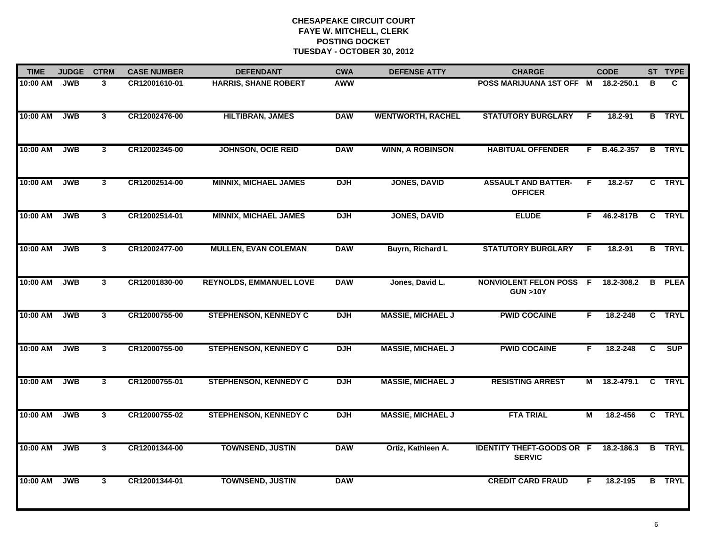| <b>TIME</b> | <b>JUDGE</b> | <b>CTRM</b>    | <b>CASE NUMBER</b> | <b>DEFENDANT</b>               | <b>CWA</b> | <b>DEFENSE ATTY</b>      | <b>CHARGE</b>                                        |    | <b>CODE</b>    |                         | ST TYPE       |
|-------------|--------------|----------------|--------------------|--------------------------------|------------|--------------------------|------------------------------------------------------|----|----------------|-------------------------|---------------|
| 10:00 AM    | <b>JWB</b>   | 3              | CR12001610-01      | <b>HARRIS, SHANE ROBERT</b>    | <b>AWW</b> |                          | POSS MARIJUANA 1ST OFF M                             |    | 18.2-250.1     | в                       | C.            |
| 10:00 AM    | <b>JWB</b>   | $\mathbf{3}$   | CR12002476-00      | <b>HILTIBRAN, JAMES</b>        | <b>DAW</b> | <b>WENTWORTH, RACHEL</b> | <b>STATUTORY BURGLARY</b>                            | -F | 18.2-91        | B                       | <b>TRYL</b>   |
| 10:00 AM    | <b>JWB</b>   | $\mathbf{3}$   | CR12002345-00      | <b>JOHNSON, OCIE REID</b>      | <b>DAW</b> | <b>WINN, A ROBINSON</b>  | <b>HABITUAL OFFENDER</b>                             |    | $F$ B.46.2-357 |                         | <b>B</b> TRYL |
| 10:00 AM    | <b>JWB</b>   | $\mathbf{3}$   | CR12002514-00      | <b>MINNIX, MICHAEL JAMES</b>   | <b>DJH</b> | <b>JONES, DAVID</b>      | <b>ASSAULT AND BATTER-</b><br><b>OFFICER</b>         | F  | $18.2 - 57$    |                         | C TRYL        |
| 10:00 AM    | <b>JWB</b>   | 3 <sup>1</sup> | CR12002514-01      | <b>MINNIX, MICHAEL JAMES</b>   | <b>DJH</b> | <b>JONES, DAVID</b>      | <b>ELUDE</b>                                         | F. | 46.2-817B      |                         | C TRYL        |
| 10:00 AM    | <b>JWB</b>   | 3              | CR12002477-00      | <b>MULLEN, EVAN COLEMAN</b>    | <b>DAW</b> | Buyrn, Richard L         | <b>STATUTORY BURGLARY</b>                            | F. | 18.2-91        |                         | <b>B</b> TRYL |
| 10:00 AM    | <b>JWB</b>   | $\overline{3}$ | CR12001830-00      | <b>REYNOLDS, EMMANUEL LOVE</b> | <b>DAW</b> | Jones, David L.          | <b>NONVIOLENT FELON POSS F</b><br><b>GUN &gt;10Y</b> |    | 18.2-308.2     | $\overline{\mathbf{B}}$ | <b>PLEA</b>   |
| 10:00 AM    | <b>JWB</b>   | $\mathbf{3}$   | CR12000755-00      | <b>STEPHENSON, KENNEDY C</b>   | <b>DJH</b> | <b>MASSIE, MICHAEL J</b> | <b>PWID COCAINE</b>                                  | F  | 18.2-248       |                         | C TRYL        |
| 10:00 AM    | <b>JWB</b>   | 3 <sup>1</sup> | CR12000755-00      | <b>STEPHENSON, KENNEDY C</b>   | <b>DJH</b> | <b>MASSIE, MICHAEL J</b> | <b>PWID COCAINE</b>                                  | F. | 18.2-248       | C                       | <b>SUP</b>    |
| 10:00 AM    | <b>JWB</b>   | 3              | CR12000755-01      | <b>STEPHENSON, KENNEDY C</b>   | <b>DJH</b> | <b>MASSIE, MICHAEL J</b> | <b>RESISTING ARREST</b>                              | М  | 18.2-479.1     |                         | C TRYL        |
| 10:00 AM    | <b>JWB</b>   | $\mathbf{3}$   | CR12000755-02      | <b>STEPHENSON, KENNEDY C</b>   | <b>DJH</b> | <b>MASSIE, MICHAEL J</b> | <b>FTA TRIAL</b>                                     | М  | 18.2-456       |                         | C TRYL        |
| 10:00 AM    | <b>JWB</b>   | $\mathbf{3}$   | CR12001344-00      | <b>TOWNSEND, JUSTIN</b>        | <b>DAW</b> | Ortiz, Kathleen A.       | <b>IDENTITY THEFT-GOODS OR F</b><br><b>SERVIC</b>    |    | 18.2-186.3     | B                       | <b>TRYL</b>   |
| 10:00 AM    | <b>JWB</b>   | $\mathbf{3}$   | CR12001344-01      | <b>TOWNSEND, JUSTIN</b>        | <b>DAW</b> |                          | <b>CREDIT CARD FRAUD</b>                             | F. | 18.2-195       |                         | <b>B</b> TRYL |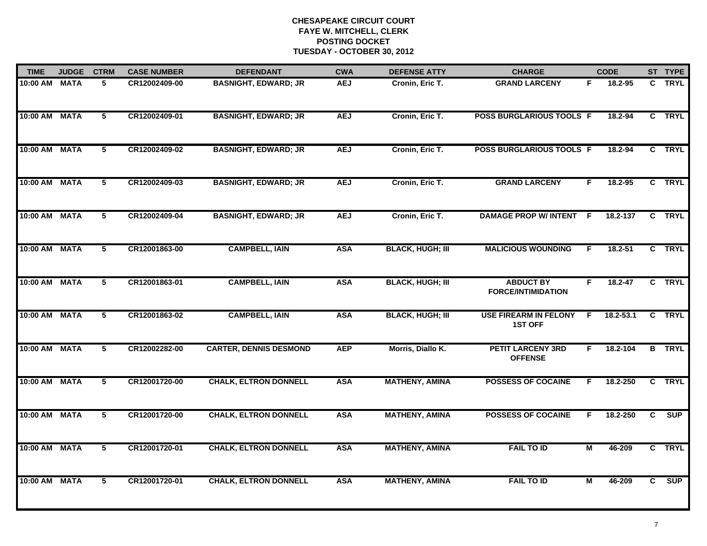| <b>TIME</b>   | <b>JUDGE</b> | <b>CTRM</b>    | <b>CASE NUMBER</b> | <b>DEFENDANT</b>              | <b>CWA</b> | <b>DEFENSE ATTY</b>     | <b>CHARGE</b>                                  | <b>CODE</b>       |    | ST TYPE       |
|---------------|--------------|----------------|--------------------|-------------------------------|------------|-------------------------|------------------------------------------------|-------------------|----|---------------|
| 10:00 AM MATA |              | 5              | CR12002409-00      | <b>BASNIGHT, EDWARD; JR</b>   | <b>AEJ</b> | Cronin, Eric T.         | <b>GRAND LARCENY</b>                           | 18.2-95<br>F.     |    | C TRYL        |
| 10:00 AM MATA |              | 5              | CR12002409-01      | <b>BASNIGHT, EDWARD; JR</b>   | <b>AEJ</b> | Cronin, Eric T.         | POSS BURGLARIOUS TOOLS F                       | 18.2-94           |    | C TRYL        |
| 10:00 AM MATA |              | 5              | CR12002409-02      | <b>BASNIGHT, EDWARD; JR</b>   | <b>AEJ</b> | Cronin, Eric T.         | <b>POSS BURGLARIOUS TOOLS F</b>                | 18.2-94           |    | C TRYL        |
| 10:00 AM MATA |              | 5              | CR12002409-03      | <b>BASNIGHT, EDWARD; JR</b>   | <b>AEJ</b> | Cronin, Eric T.         | <b>GRAND LARCENY</b>                           | $18.2 - 95$<br>F. |    | C TRYL        |
| 10:00 AM MATA |              | 5              | CR12002409-04      | <b>BASNIGHT, EDWARD; JR</b>   | <b>AEJ</b> | Cronin, Eric T.         | <b>DAMAGE PROP W/ INTENT</b>                   | 18.2-137<br>- F   |    | C TRYL        |
| 10:00 AM MATA |              | 5              | CR12001863-00      | <b>CAMPBELL, IAIN</b>         | <b>ASA</b> | <b>BLACK, HUGH; III</b> | <b>MALICIOUS WOUNDING</b>                      | $18.2 - 51$<br>F. |    | C TRYL        |
| 10:00 AM MATA |              | $\overline{5}$ | CR12001863-01      | <b>CAMPBELL, IAIN</b>         | <b>ASA</b> | <b>BLACK, HUGH; III</b> | <b>ABDUCT BY</b><br><b>FORCE/INTIMIDATION</b>  | F<br>$18.2 - 47$  |    | C TRYL        |
| 10:00 AM MATA |              | 5              | CR12001863-02      | <b>CAMPBELL, IAIN</b>         | <b>ASA</b> | <b>BLACK, HUGH; III</b> | <b>USE FIREARM IN FELONY</b><br><b>1ST OFF</b> | 18.2-53.1<br>F.   |    | C TRYL        |
| 10:00 AM MATA |              | 5              | CR12002282-00      | <b>CARTER, DENNIS DESMOND</b> | <b>AEP</b> | Morris, Diallo K.       | <b>PETIT LARCENY 3RD</b><br><b>OFFENSE</b>     | 18.2-104<br>F.    |    | <b>B</b> TRYL |
| 10:00 AM MATA |              | 5              | CR12001720-00      | <b>CHALK, ELTRON DONNELL</b>  | <b>ASA</b> | <b>MATHENY, AMINA</b>   | <b>POSSESS OF COCAINE</b>                      | 18.2-250<br>F.    |    | C TRYL        |
| 10:00 AM MATA |              | 5              | CR12001720-00      | <b>CHALK, ELTRON DONNELL</b>  | <b>ASA</b> | <b>MATHENY, AMINA</b>   | <b>POSSESS OF COCAINE</b>                      | 18.2-250<br>F.    | C  | <b>SUP</b>    |
| 10:00 AM MATA |              | 5              | CR12001720-01      | <b>CHALK, ELTRON DONNELL</b>  | <b>ASA</b> | <b>MATHENY, AMINA</b>   | <b>FAIL TO ID</b>                              | М<br>46-209       |    | C TRYL        |
| 10:00 AM MATA |              | 5              | CR12001720-01      | <b>CHALK, ELTRON DONNELL</b>  | <b>ASA</b> | <b>MATHENY, AMINA</b>   | <b>FAIL TO ID</b>                              | 46-209<br>М       | C. | SUP           |